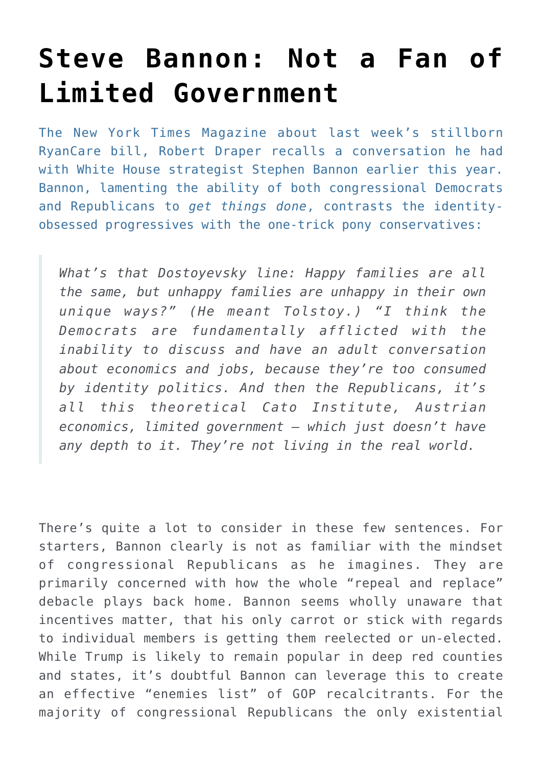## **[Steve Bannon: Not a Fan of](https://intellectualtakeout.org/2017/03/steve-bannon-not-a-fan-of-limited-government/) [Limited Government](https://intellectualtakeout.org/2017/03/steve-bannon-not-a-fan-of-limited-government/)**

The New York Times Magazine about last week's stillborn RyanCare bill, Robert Draper recalls a conversation he had with White House strategist Stephen Bannon earlier this year. Bannon, lamenting the ability of both congressional Democrats and Republicans to *get things done*, contrasts the identityobsessed progressives with the one-trick pony conservatives:

*What's that Dostoyevsky line: Happy families are all the same, but unhappy families are unhappy in their own unique ways?" (He meant Tolstoy.) "I think the Democrats are fundamentally afflicted with the inability to discuss and have an adult conversation about economics and jobs, because they're too consumed by identity politics. And then the Republicans, it's all this theoretical Cato Institute, Austrian economics, limited government — which just doesn't have any depth to it. They're not living in the real world.*

There's quite a lot to consider in these few sentences. For starters, Bannon clearly is not as familiar with the mindset of congressional Republicans as he imagines. They are primarily concerned with how the whole "repeal and replace" debacle plays back home. Bannon seems wholly unaware that incentives matter, that his only carrot or stick with regards to individual members is getting them reelected or un-elected. While Trump is likely to remain popular in deep red counties and states, it's doubtful Bannon can leverage this to create an effective "enemies list" of GOP recalcitrants. For the majority of congressional Republicans the only existential